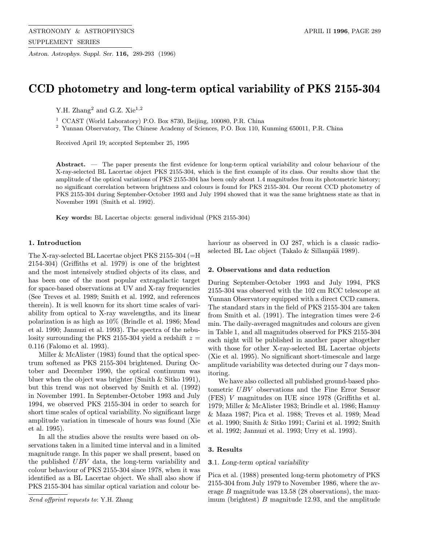Astron. Astrophys. Suppl. Ser. 116, 289-293 (1996)

# CCD photometry and long-term optical variability of PKS 2155-304

Y.H. Zhang $^2$  and G.Z.  $\rm{Xie}^{1,2}$ 

<sup>1</sup> CCAST (World Laboratory) P.O. Box 8730, Beijing, 100080, P.R. China

<sup>2</sup> Yunnan Observatory, The Chinese Academy of Sciences, P.O. Box 110, Kunming 650011, P.R. China

Received April 19; accepted September 25, 1995

Abstract. — The paper presents the first evidence for long-term optical variability and colour behaviour of the X-ray-selected BL Lacertae object PKS 2155-304, which is the first example of its class. Our results show that the amplitude of the optical variations of PKS 2155-304 has been only about 1.4 magnitudes from its photometric history; no significant correlation between brightness and colours is found for PKS 2155-304. Our recent CCD photometry of PKS 2155-304 during September-October 1993 and July 1994 showed that it was the same brightness state as that in November 1991 (Smith et al. 1992).

Key words: BL Lacertae objects: general individual (PKS 2155-304)

#### 1. Introduction

The X-ray-selected BL Lacertae object PKS 2155-304 (=H 2154-304) (Griffiths et al. 1979) is one of the brightest and the most intensively studied objects of its class, and has been one of the most popular extragalactic target for space-based observations at UV and X-ray frequencies (See Treves et al. 1989; Smith et al. 1992, and references therein). It is well known for its short time scales of variability from optical to X-ray wavelengths, and its linear polarization is as high as 10% (Brindle et al. 1986; Mead et al. 1990; Jannuzi et al. 1993). The spectra of the nebulosity surrounding the PKS 2155-304 yield a redshift  $z =$ 0.116 (Falomo et al. 1993).

Miller & McAlister (1983) found that the optical spectrum softened as PKS 2155-304 brightened. During October and December 1990, the optical continuum was bluer when the object was brighter (Smith & Sitko 1991), but this trend was not observed by Smith et al. (1992) in November 1991. In September-October 1993 and July 1994, we observed PKS 2155-304 in order to search for short time scales of optical variability. No significant large amplitude variation in timescale of hours was found (Xie et al. 1995).

In all the studies above the results were based on observations taken in a limited time interval and in a limited magnitude range. In this paper we shall present, based on the published UBV data, the long-term variability and colour behaviour of PKS 2155-304 since 1978, when it was identified as a BL Lacertae object. We shall also show if PKS 2155-304 has similar optical variation and colour be-

Send offprint requests to: Y.H. Zhang

haviour as observed in OJ 287, which is a classic radioselected BL Lac object (Takalo  $&$  Sillanpää 1989).

#### 2. Observations and data reduction

During September-October 1993 and July 1994, PKS 2155-304 was observed with the 102 cm RCC telescope at Yunnan Observatory equipped with a direct CCD camera. The standard stars in the field of PKS 2155-304 are taken from Smith et al. (1991). The integration times were 2-6 min. The daily-averaged magnitudes and colours are given in Table 1, and all magnitudes observed for PKS 2155-304 each night will be published in another paper altogether with those for other X-ray-selected BL Lacertae objects (Xie et al. 1995). No significant short-timescale and large amplitude variability was detected during our 7 days monitoring.

We have also collected all published ground-based photometric UBV observations and the Fine Error Sensor (FES) V magnitudes on IUE since 1978 (Griffiths et al. 1979; Miller & McAlister 1983; Brindle et al. 1986; Hamuy & Maza 1987; Pica et al. 1988; Treves et al. 1989; Mead et al. 1990; Smith & Sitko 1991; Carini et al. 1992; Smith et al. 1992; Jannuzi et al. 1993; Urry et al. 1993).

### 3. Results

#### 3.1. Long-term optical variability

Pica et al. (1988) presented long-term photometry of PKS 2155-304 from July 1979 to November 1986, where the average  $B$  magnitude was  $13.58$  (28 observations), the maximum (brightest) B magnitude 12.93, and the amplitude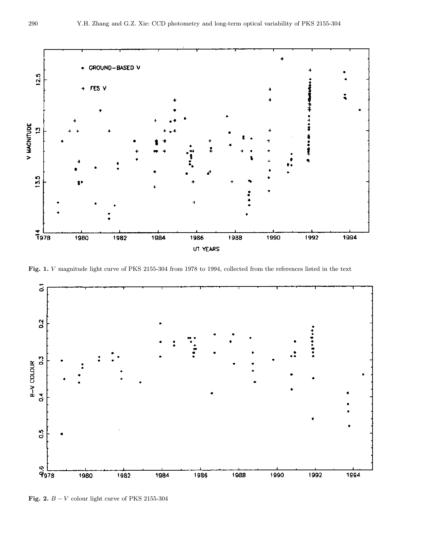

Fig. 1. V magnitude light curve of PKS 2155-304 from 1978 to 1994, collected from the references listed in the text



Fig. 2.  $B - V$  colour light curve of PKS 2155-304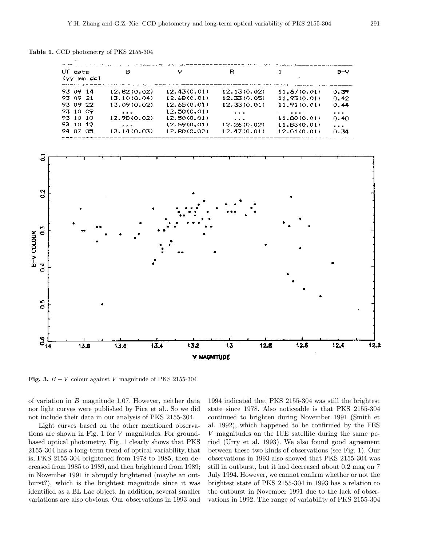Table 1. CCD photometry of PKS 2155-304

| UT date<br>(yy mm dd) | в                 | v           | R                             | Т.                          | $B-V$                |
|-----------------------|-------------------|-------------|-------------------------------|-----------------------------|----------------------|
| 93 09 14              | 12.82(0.02)       | 12.43(0.01) | 12.13(0.02)                   | 11.67(0.01)                 | 0.39                 |
| 93 09 21              | 13.10(0.04)       | 12.68(0.01) | 12.33(0.05)                   | 11.93(0.01)                 | 0.42                 |
| 93 09 22              | 13.09 (0.02)      | 12.65(0.01) | 12.33(0.01)                   | 11.91(0.01)                 | O.44                 |
| 93 10 09              | $\cdots$          | 12.50(0.01) | $\cdots$                      | $\sim$ $\sim$ $\sim$ $\sim$ | $\cdots$             |
| 93 10 10              | 12.98(0.02)       | 12.50(0.01) | $\mathbf{a}$ and $\mathbf{a}$ | 11.80(0.01)                 | 0.48                 |
| 93.10.12              | $\mathbf{z}$ is a | 12.59(0.01) | 12.26(0.02)                   | 11.83(0.01)                 | $\sim$ $\sim$ $\sim$ |
| 94.07<br>- 05.        | 13.14(0.03)       | 12.80(0.02) | 12.47(0.01)                   | 12.01(0.01)                 | 0.34                 |



Fig. 3.  $B - V$  colour against V magnitude of PKS 2155-304

of variation in B magnitude 1.07. However, neither data nor light curves were published by Pica et al.. So we did not include their data in our analysis of PKS 2155-304.

Light curves based on the other mentioned observations are shown in Fig. 1 for V magnitudes. For groundbased optical photometry, Fig. 1 clearly shows that PKS 2155-304 has a long-term trend of optical variability, that is, PKS 2155-304 brightened from 1978 to 1985, then decreased from 1985 to 1989, and then brightened from 1989; in November 1991 it abruptly brightened (maybe an outburst?), which is the brightest magnitude since it was identified as a BL Lac object. In addition, several smaller variations are also obvious. Our observations in 1993 and 1994 indicated that PKS 2155-304 was still the brightest state since 1978. Also noticeable is that PKS 2155-304 continued to brighten during November 1991 (Smith et al. 1992), which happened to be confirmed by the FES V magnitudes on the IUE satellite during the same period (Urry et al. 1993). We also found good agreement between these two kinds of observations (see Fig. 1). Our observations in 1993 also showed that PKS 2155-304 was still in outburst, but it had decreased about 0.2 mag on 7 July 1994. However, we cannot confirm whether or not the brightest state of PKS 2155-304 in 1993 has a relation to the outburst in November 1991 due to the lack of observations in 1992. The range of variability of PKS 2155-304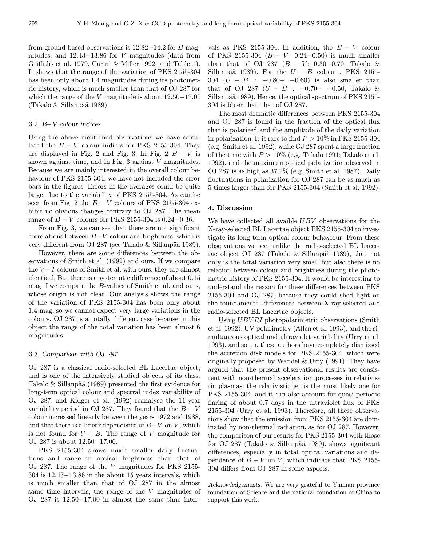from ground-based observations is 12.82−14.2 for B magnitudes, and 12.43−13.86 for V magnitudes (data from Griffiths et al. 1979, Carini & Miller 1992, and Table 1). It shows that the range of the variation of PKS 2155-304 has been only about 1.4 magnitudes during its photometric history, which is much smaller than that of OJ 287 for which the range of the V magnitude is about  $12.50-17.00$  $(Takalo & Sillanpää 1989).$ 

#### 3.2. B−V colour indices

Using the above mentioned observations we have calculated the  $B - V$  colour indices for PKS 2155-304. They are displayed in Fig. 2 and Fig. 3. In Fig. 2  $B - V$  is shown against time, and in Fig.  $3$  against  $V$  magnitudes. Because we are mainly interested in the overall colour behaviour of PKS 2155-304, we have not included the error bars in the figures. Errors in the averages could be quite large, due to the variability of PKS 2155-304. As can be seen from Fig. 2 the  $B - V$  colours of PKS 2155-304 exhibit no obvious changes contrary to OJ 287. The mean range of  $B - V$  colours for PKS 2155-304 is 0.24-0.36.

From Fig. 3, we can see that there are not significant correlations between B−V colour and brightness, which is very different from OJ 287 (see Takalo & Sillanpää 1989).

However, there are some differences between the observations of Smith et al. (1992) and ours. If we compare the  $V-I$  colours of Smith et al. with ours, they are almost identical. But there is a systematic difference of about 0.15 mag if we compare the B-values of Smith et al. and ours, whose origin is not clear. Our analysis shows the range of the variation of PKS 2155-304 has been only about 1.4 mag, so we cannot expect very large variations in the colours. OJ 287 is a totally different case because in this object the range of the total variation has been almost 6 magnitudes.

#### 3.3. Comparison with OJ 287

OJ 287 is a classical radio-selected BL Lacertae object, and is one of the intensively studied objects of its class. Takalo  $\&$  Sillanpää (1989) presented the first evidence for long-term optical colour and spectral index variability of OJ 287, and Kidger et al. (1992) reanalyse the 11-year variability period in OJ 287. They found that the  $B - V$ colour increased linearly between the years 1972 and 1988, and that there is a linear dependence of  $B-V$  on V, which is not found for  $U - B$ . The range of V magnitude for OJ 287 is about 12.50−17.00.

PKS 2155-304 shows much smaller daily fluctuations and range in optical brightness than that of OJ 287. The range of the V magnitudes for PKS 2155- 304 is 12.43−13.86 in the about 15 years intervals, which is much smaller than that of OJ 287 in the almost same time intervals, the range of the V magnitudes of OJ 287 is 12.50−17.00 in almost the same time intervals as PKS 2155-304. In addition, the  $B - V$  colour of PKS 2155-304  $(B - V: 0.24 - 0.50)$  is much smaller than that of OJ 287 ( $B - V$ : 0.30–0.70; Takalo & Sillanpää 1989). For the  $U - B$  colour, PKS 2155-304  $(U - B : -0.80 - -0.60)$  is also smaller than that of OJ 287  $(U - B : -0.70 - -0.50;$  Takalo & Sillanpää 1989). Hence, the optical spectrum of PKS 2155-304 is bluer than that of OJ 287.

The most dramatic differences between PKS 2155-304 and OJ 287 is found in the fraction of the optical flux that is polarized and the amplitude of the daily variation in polarization. It is rare to find  $P > 10\%$  in PKS 2155-304 (e.g. Smith et al. 1992), while OJ 287 spent a large fraction of the time with  $P > 10\%$  (e.g. Takalo 1991; Takalo et al. 1992), and the maximum optical polarization observed in OJ 287 is as high as 37.2% (e.g. Smith et al. 1987). Daily fluctuations in polarization for OJ 287 can be as much as 5 times larger than for PKS 2155-304 (Smith et al. 1992).

#### 4. Discussion

We have collected all avaible UBV observations for the X-ray-selected BL Lacertae object PKS 2155-304 to investigate its long-term optical colour behaviour. From these observations we see, unlike the radio-selected BL Lacertae object OJ 287 (Takalo & Sillanpää 1989), that not only is the total variation very small but also there is no relation between colour and brightness during the photometric history of PKS 2155-304. It would be interesting to understand the reason for these differences between PKS 2155-304 and OJ 287, because they could shed light on the foundamental differences between X-ray-selected and radio-selected BL Lacertae objects.

Using UBV RI photopolarimetric observations (Smith) et al. 1992), UV polarimetry (Allen et al. 1993), and the simultaneous optical and ultraviolet variability (Urry et al. 1993), and so on, these authors have completely dismissed the accretion disk models for PKS 2155-304, which were originally proposed by Wandel & Urry (1991). They have argued that the present observational results are consistent with non-thermal acceleration processes in relativistic plasmas: the relativistic jet is the most likely one for PKS 2155-304, and it can also account for quasi-periodic flaring of about 0.7 days in the ultraviolet flux of PKS 2155-304 (Urry et al. 1993). Therefore, all these observations show that the emission from PKS 2155-304 are dominated by non-thermal radiation, as for OJ 287. However, the comparison of our results for PKS 2155-304 with those for OJ 287 (Takalo & Sillanpää 1989), shows significant differences, especially in total optical variations and dependence of  $B - V$  on V, which indicate that PKS 2155-304 differs from OJ 287 in some aspects.

Acknowledgements. We are very grateful to Yunnan province foundation of Science and the national foundation of China to support this work.